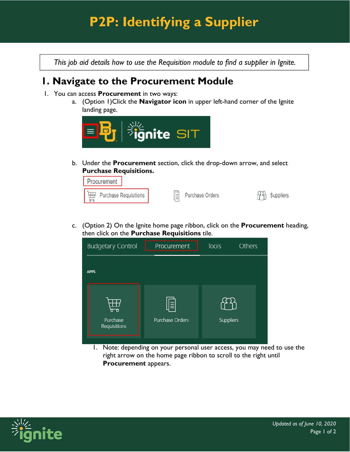## **P2P: Identifying a Supplier**

*This job aid details how to use the Requisition module to find a supplier in Ignite.* 

## **1. Navigate to the Procurement Module**

- 1. You can access **Procurement** in two ways:
	- a. (Option 1)Click the **Navigator icon** in upper left-hand corner of the Ignite landing page.



b. Under the **Procurement** section, click the drop-down arrow, and select **Purchase Requisitions.**



c. (Option 2) On the Ignite home page ribbon, click on the **Procurement** heading, then click on the **Purchase Requisitions** tile.

| <b>Budgetary Control</b><br><b>Tools</b><br><b>Others</b><br>Procurement |                 |                  |  |  |
|--------------------------------------------------------------------------|-----------------|------------------|--|--|
| <b>APPS</b><br>F<br>₩                                                    |                 |                  |  |  |
| Purchase<br>Requisitions                                                 | Purchase Orders | <b>Suppliers</b> |  |  |

1. Note: depending on your personal user access, you may need to use the right arrow on the home page ribbon to scroll to the right until **Procurement** appears.